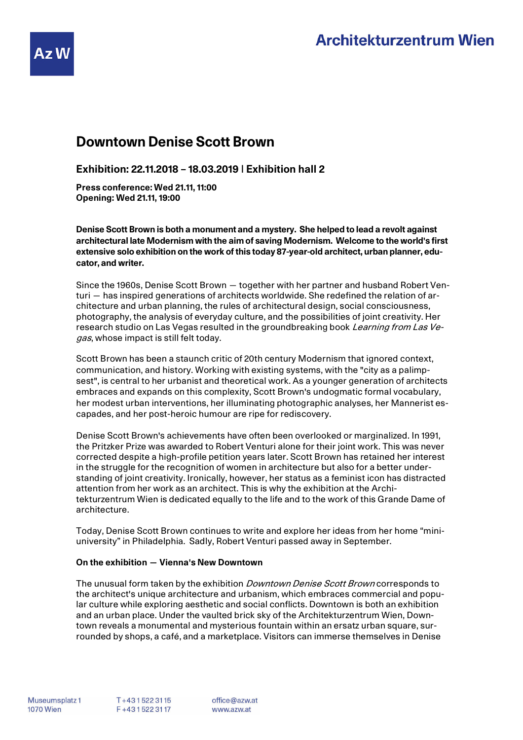

**Exhibition: 22.11.2018 – 18.03.2019 | Exhibition hall 2**

**Press conference: Wed 21.11, 11:00 Opening: Wed 21.11, 19:00**

**Denise Scott Brown is both a monument and a mystery. She helped to lead a revolt against architectural late Modernism with the aim of saving Modernism. Welcome to the world's first extensive solo exhibition on the work of this today 87-year-old architect, urban planner, educator, and writer.**

Since the 1960s, Denise Scott Brown — together with her partner and husband Robert Venturi — has inspired generations of architects worldwide. She redefined the relation of architecture and urban planning, the rules of architectural design, social consciousness, photography, the analysis of everyday culture, and the possibilities of joint creativity. Her research studio on Las Vegas resulted in the groundbreaking book *Learning from Las Ve*gas, whose impact is still felt today.

Scott Brown has been a staunch critic of 20th century Modernism that ignored context, communication, and history. Working with existing systems, with the "city as a palimpsest", is central to her urbanist and theoretical work. As a younger generation of architects embraces and expands on this complexity, Scott Brown's undogmatic formal vocabulary, her modest urban interventions, her illuminating photographic analyses, her Mannerist escapades, and her post-heroic humour are ripe for rediscovery.

Denise Scott Brown's achievements have often been overlooked or marginalized. In 1991, the Pritzker Prize was awarded to Robert Venturi alone for their joint work. This was never corrected despite a high-profile petition years later. Scott Brown has retained her interest in the struggle for the recognition of women in architecture but also for a better understanding of joint creativity. Ironically, however, her status as a feminist icon has distracted attention from her work as an architect. This is why the exhibition at the Architekturzentrum Wien is dedicated equally to the life and to the work of this Grande Dame of architecture.

Today, Denise Scott Brown continues to write and explore her ideas from her home "miniuniversity" in Philadelphia. Sadly, Robert Venturi passed away in September.

## **On the exhibition — Vienna's New Downtown**

The unusual form taken by the exhibition *Downtown Denise Scott Brown* corresponds to the architect's unique architecture and urbanism, which embraces commercial and popular culture while exploring aesthetic and social conflicts. Downtown is both an exhibition and an urban place. Under the vaulted brick sky of the Architekturzentrum Wien, Downtown reveals a monumental and mysterious fountain within an ersatz urban square, surrounded by shops, a café, and a marketplace. Visitors can immerse themselves in Denise